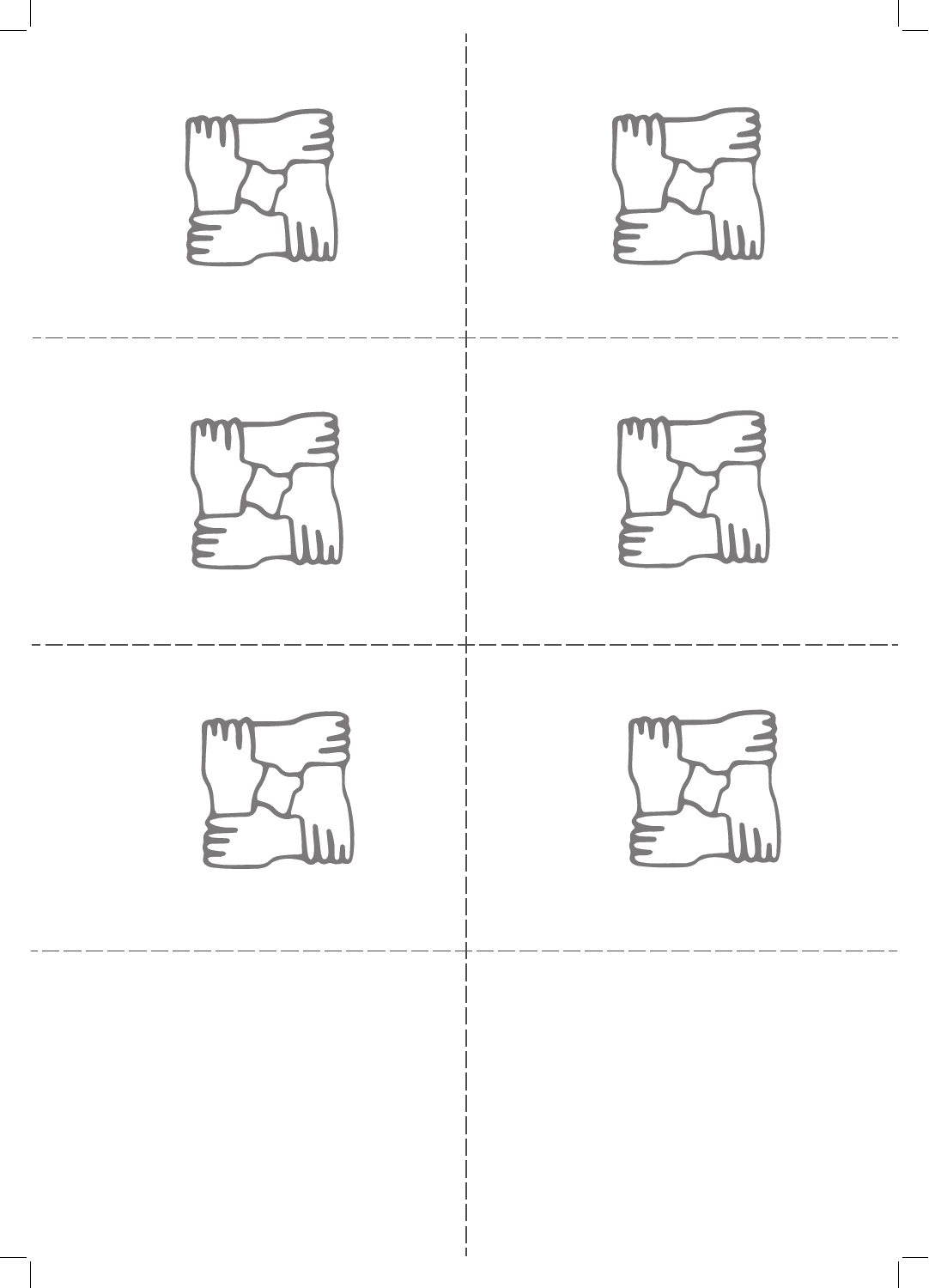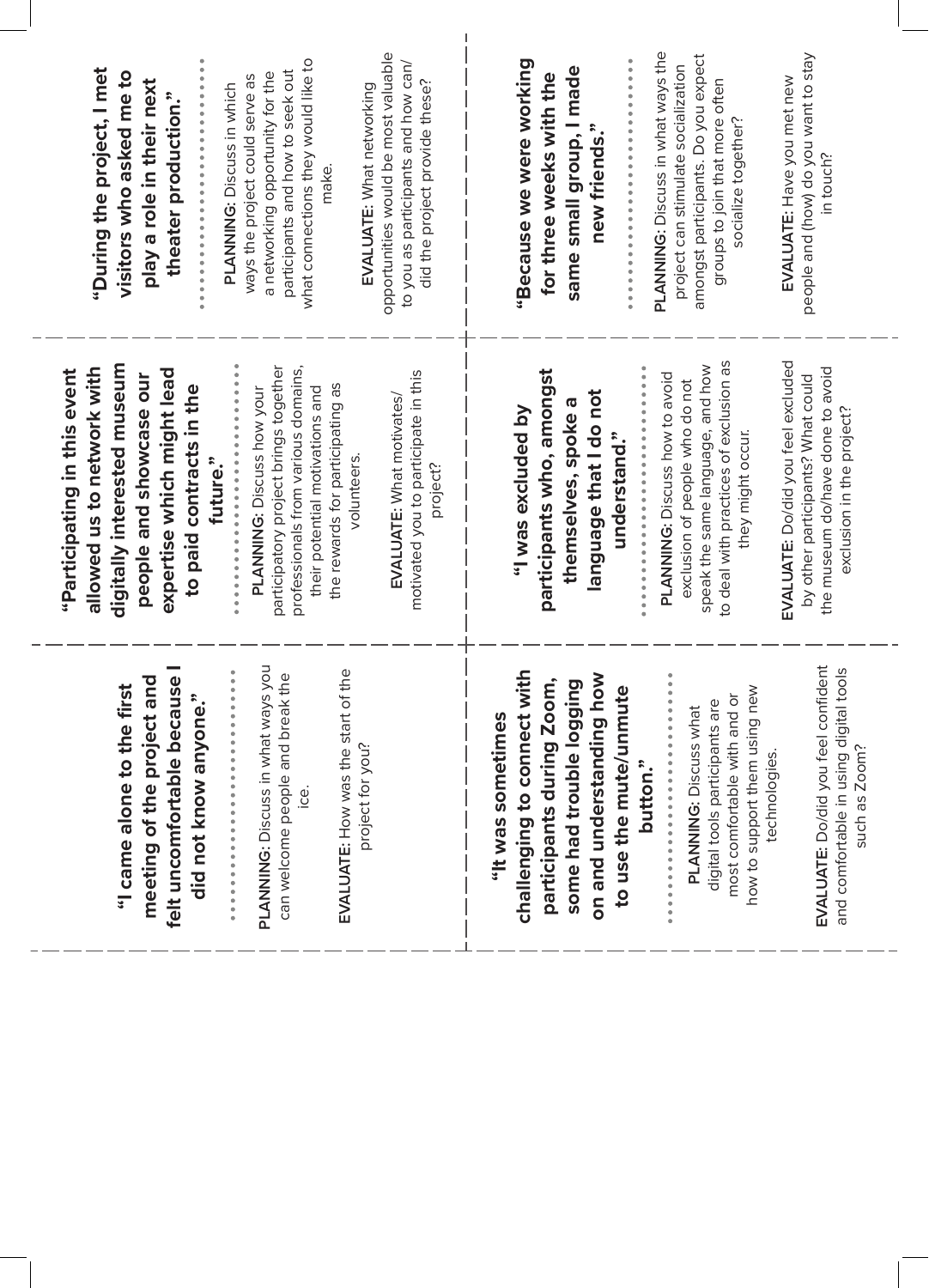| opportunities would be most valuable<br>what connections they would like to<br>to you as participants and how can/<br>"During the project, I met<br>participants and how to seek out<br>visitors who asked me to<br>a networking opportunity for the<br>ways the project could serve as<br>play a role in their next<br>did the project provide these?<br>EVALUATE: What networking<br>PLANNING: Discuss in which<br>theater production."<br>make.                                                     | PLANNING: Discuss in what ways the<br>amongst participants. Do you expect<br>people and (how) do you want to stay<br>"Because we were working<br>project can stimulate socialization<br>same small group, I made<br>for three weeks with the<br>EVALUATE: Have you met new<br>groups to join that more often<br>socialize together?<br>new friends."<br>in touch?                                                                                                          |
|--------------------------------------------------------------------------------------------------------------------------------------------------------------------------------------------------------------------------------------------------------------------------------------------------------------------------------------------------------------------------------------------------------------------------------------------------------------------------------------------------------|----------------------------------------------------------------------------------------------------------------------------------------------------------------------------------------------------------------------------------------------------------------------------------------------------------------------------------------------------------------------------------------------------------------------------------------------------------------------------|
| digitally interested museum<br>---------------<br>participatory project brings together<br>professionals from various domains,<br>allowed us to network with<br>"Participating in this event<br>expertise which might lead<br>motivated you to participate in this<br>people and showcase our<br>PLANNING: Discuss how your<br>the rewards for participating as<br>to paid contracts in the<br>their potential motivations and<br>EVALUATE: What motivates/<br>volunteers.<br>future."<br>project?<br> | to deal with practices of exclusion as<br>EVALUATE: Do/did you feel excluded<br>speak the same language, and how<br>the museum do/have done to avoid<br>participants who, amongst<br>PLANNING: Discuss how to avoid<br>by other participants? What could<br>exclusion of people who do not<br>language that I do not<br>themselves, spoke a<br>"I was excluded by"<br>exclusion in the project?<br>they might occur.<br>understand."                                       |
| PLANNING: Discuss in what ways you<br>EVALUATE: How was the start of the<br>can welcome people and break the<br>felt uncomfortable because<br>meeting of the project and<br>"I came alone to the first<br>did not know anyone."<br>project for you?<br><u>i</u><br>Lei                                                                                                                                                                                                                                 | EVALUATE: Do/did you feel confident<br>and comfortable in using digital tools<br>challenging to connect with<br>$\bullet$<br>on and understanding how<br>participants during Zoom,<br>some had trouble logging<br>how to support them using new<br>to use the mute/unmute<br>most comfortable with and or<br>-------------<br>digital tools participants are<br>PLANNING: Discuss what<br>"It was sometimes<br>such as Zoom?<br>technologies.<br>button."<br>$\frac{1}{2}$ |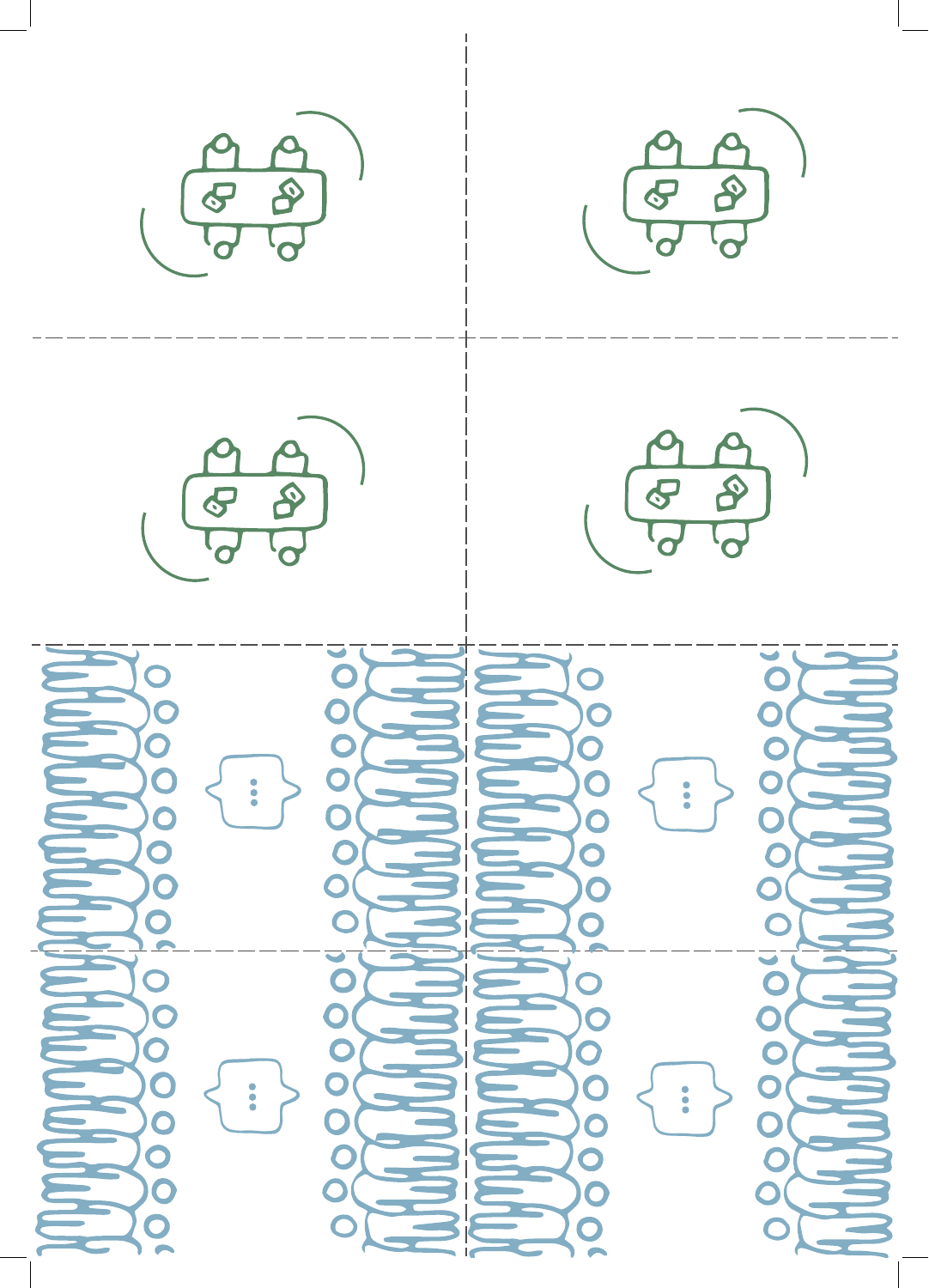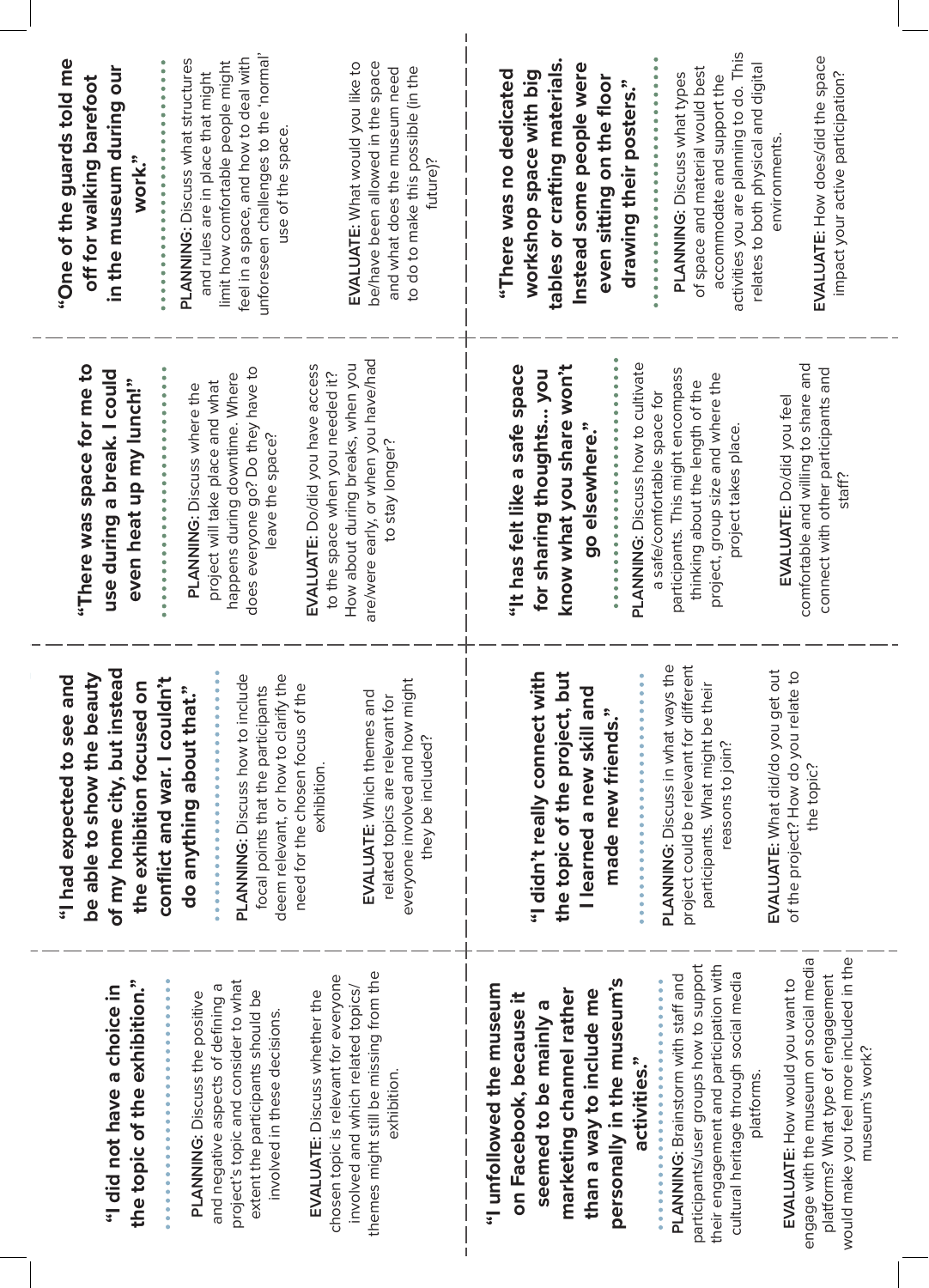| unforeseen challenges to the 'normal'<br>feel in a space, and how to deal with<br><b>PLANNING: Discuss what structures</b><br>"One of the guards told me<br>limit how comfortable people might<br>be/have been allowed in the space<br>EVALUATE: What would you like to<br>in the museum during our<br>to do to make this possible (in the<br>and what does the museum need<br>and rules are in place that might<br>off for walking barefoot<br>use of the space.<br>work."<br>future)?      | activities you are planning to do. This<br>EVALUATE: How does/did the space<br>tables or crafting materials.<br>Instead some people were<br>relates to both physical and digital<br>of space and material would best<br>"There was no dedicated<br>workshop space with big<br>impact your active participation?<br>PLANNING: Discuss what types<br>accommodate and support the<br>even sitting on the floor<br>drawing their posters."<br>environments.                                                                                                  |
|----------------------------------------------------------------------------------------------------------------------------------------------------------------------------------------------------------------------------------------------------------------------------------------------------------------------------------------------------------------------------------------------------------------------------------------------------------------------------------------------|----------------------------------------------------------------------------------------------------------------------------------------------------------------------------------------------------------------------------------------------------------------------------------------------------------------------------------------------------------------------------------------------------------------------------------------------------------------------------------------------------------------------------------------------------------|
| are/were early, or when you have/had<br>How about during breaks, when you<br>EVALUATE: Do/did you have access<br>"There was space for me to<br>does everyone go? Do they have to<br>use during a break. I could<br>to the space when you needed it?<br>happens during downtime. Where<br>even heat up my lunch!"<br>project will take place and what<br>PLANNING: Discuss where the<br>leave the space?<br>to stay longer?                                                                   | PLANNING: Discuss how to cultivate<br>know what you share won't<br>comfortable and willing to share and<br>"It has felt like a safe space<br>participants. This might encompass<br>connect with other participants and<br>for sharing thoughts you<br>project, group size and where the<br>thinking about the length of the<br>a safe/comfortable space for<br>EVALUATE: Do/did you feel<br>go elsewhere."<br>project takes place.<br>staff?                                                                                                             |
| of my home city, but instead<br>$\bullet$<br>be able to show the beauty<br>PLANNING: Discuss how to include<br>deem relevant, or how to clarify the<br>"I had expected to see and<br>the exhibition focused on<br>conflict and war. I couldn't<br>everyone involved and how might<br>need for the chosen focus of the<br>focal points that the participants<br>do anything about that."<br>EVALUATE: Which themes and<br>related topics are relevant for<br>they be included?<br>exhibition. | project could be relevant for different<br>PLANNING: Discuss in what ways the<br>EVALUATE: What did/do you get out<br>of the project? How do you relate to<br>$\mathbf \subset$<br>پ<br>the topic of the project, bu<br>"I didn't really connect wit<br>participants. What might be their<br>I learned a new skill and<br>made new friends."<br>reasons to join?<br>the topic?<br>--------                                                                                                                                                               |
| themes might still be missing from the<br>chosen topic is relevant for everyone<br>.<br>project's topic and consider to what<br>the topic of the exhibition."<br>and negative aspects of defining a<br>involved and which related topics/<br>"I did not have a choice in<br>EVALUATE: Discuss whether the<br>extent the participants should be<br>PLANNING: Discuss the positive<br>involved in these decisions.<br>exhibition.                                                              | would make you feel more included in the<br>engage with the museum on social media<br>participants/user groups how to support<br>their engagement and participation with<br>cultural heritage through social media<br>platforms? What type of engagement<br>PLANNING: Brainstorm with staff and<br>EVALUATE: How would you want to<br>personally in the museum's<br>"I unfollowed the museum<br>marketing channel rather<br>than a way to include me<br>on Facebook, because it<br>seemed to be mainly a<br>museum's work?<br>activities."<br>platforms. |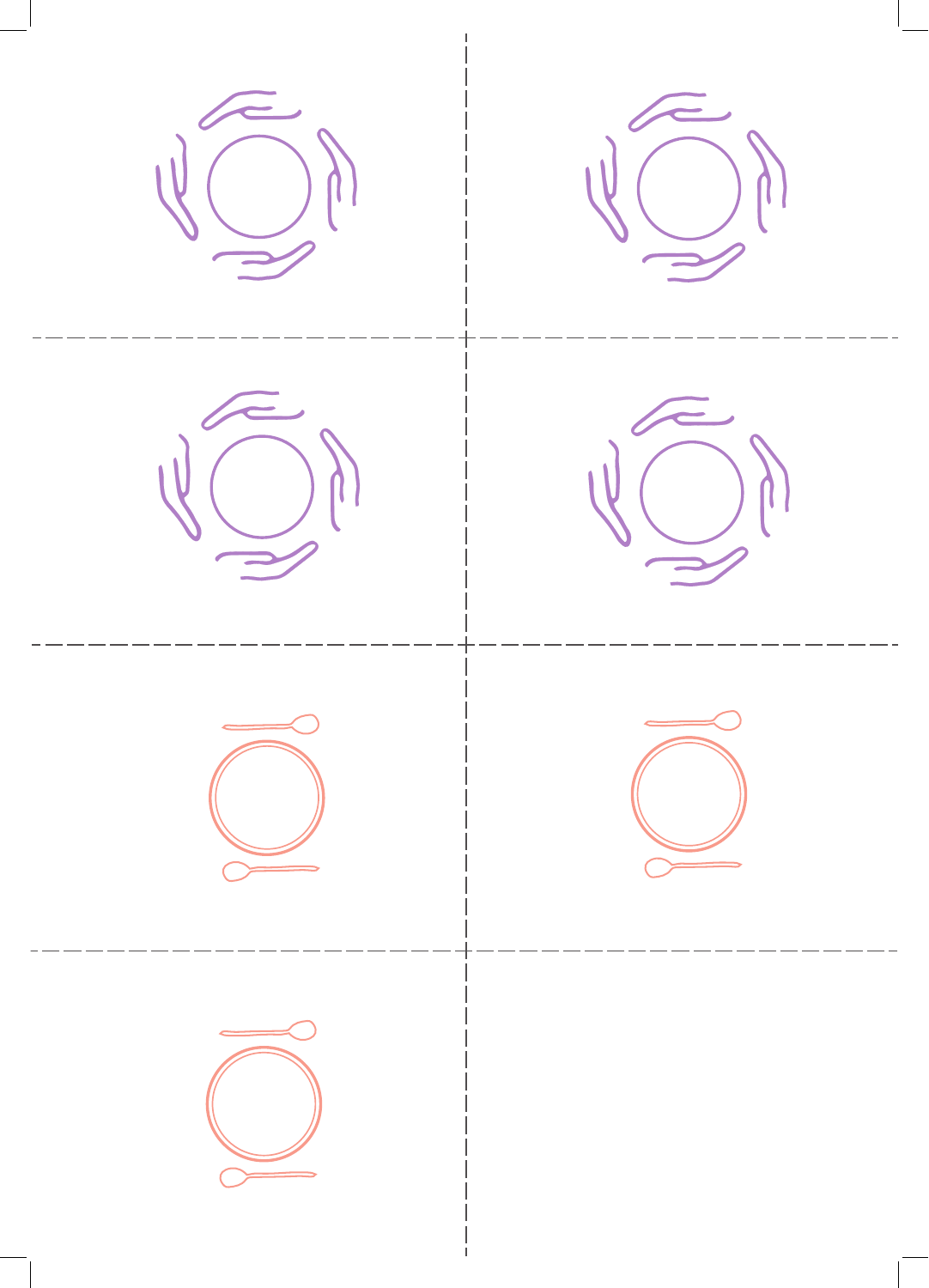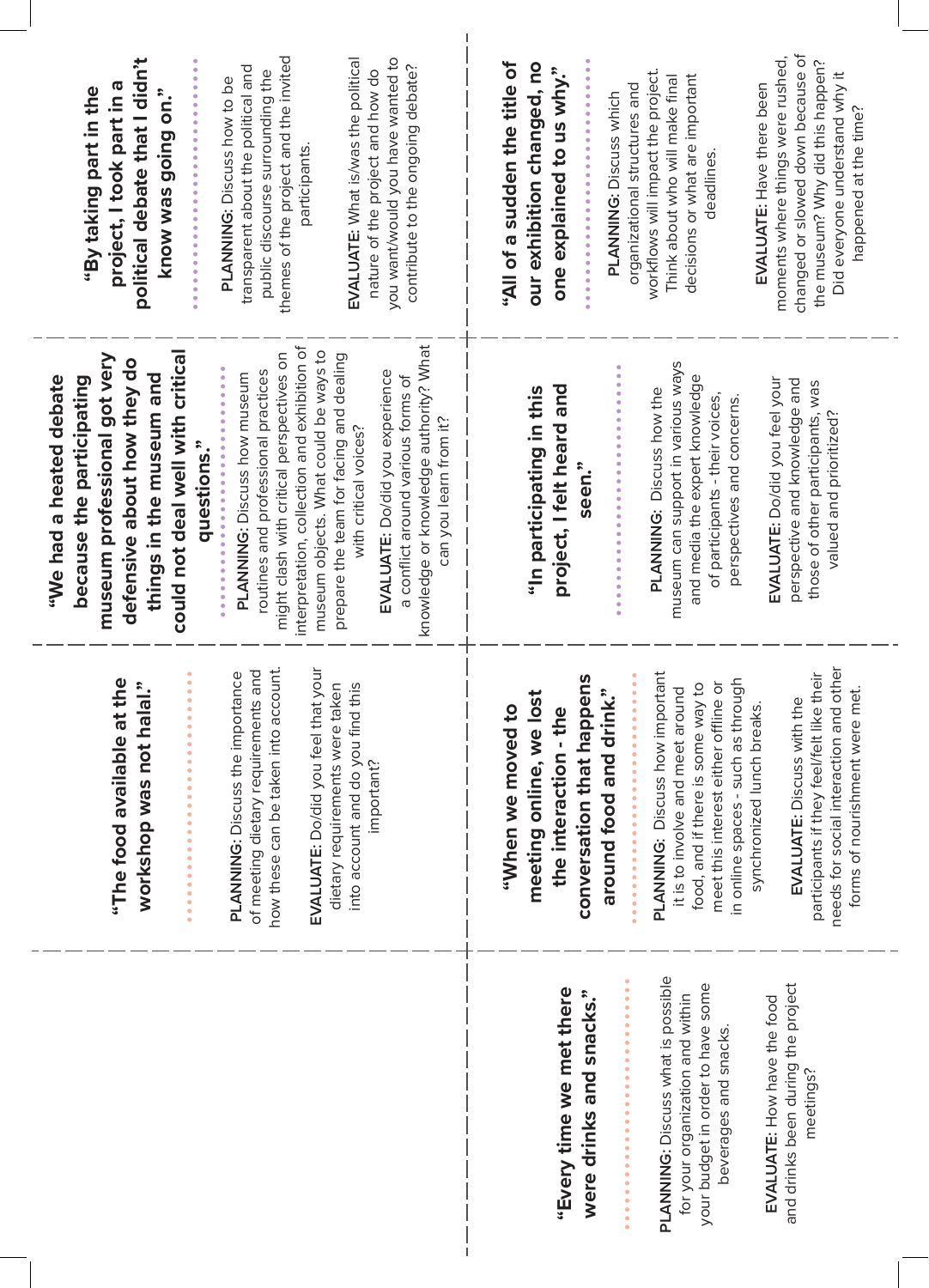| themes of the project and the invited<br>EVALUATE: What is/was the political<br>you want/would you have wanted to<br>political debate that I didn't<br>contribute to the ongoing debate?<br>transparent about the political and<br>nature of the project and how do<br>public discourse surrounding the<br>PLANNING: Discuss how to be<br>project, I took part in a<br>----------------------<br>"By taking part in the<br>know was going on."<br>participants.<br>ś                                                                                                                                                              | changed or slowed down because of<br>moments where things were rushed,<br>the museum? Why did this happen?<br>"All of a sudden the title of<br>our exhibition changed, no<br>one explained to us why."<br>workflows will impact the project.<br>Did everyone understand why it<br>decisions or what are important<br>Think about who will make final<br>EVALUATE: Have there been<br>organizational structures and<br><b>PLANNING: Discuss which</b><br>happened at the time?<br>.<br>deadlines.             |
|-----------------------------------------------------------------------------------------------------------------------------------------------------------------------------------------------------------------------------------------------------------------------------------------------------------------------------------------------------------------------------------------------------------------------------------------------------------------------------------------------------------------------------------------------------------------------------------------------------------------------------------|--------------------------------------------------------------------------------------------------------------------------------------------------------------------------------------------------------------------------------------------------------------------------------------------------------------------------------------------------------------------------------------------------------------------------------------------------------------------------------------------------------------|
| knowledge or knowledge authority? What<br>interpretation, collection and exhibition of<br>museum objects. What could be ways to<br>could not deal well with critical<br>might clash with critical perspectives on<br>museum professional got very<br>prepare the team for facing and dealing<br>defensive about how they do<br>routines and professional practices<br>EVALUATE: Do/did you experience<br>things in the museum and<br>PLANNING: Discuss how museum<br>a conflict around various forms of<br>"We had a heated debate<br>because the participating<br>can you learn from it?<br>with critical voices?<br>questions." | museum can support in various ways<br>and media the expert knowledge<br>EVALUATE: Do/did you feel your<br>perspective and knowledge and<br>those of other participants, was<br>project, I felt heard and<br>PLANNING: Discuss how the<br>"In participating in this<br>of participants - their voices,<br>perspectives and concerns.<br>valued and prioritized?<br>seen."                                                                                                                                     |
| EVALUATE: Do/did you feel that your<br>how these can be taken into account.<br>of meeting dietary requirements and<br>PLANNING: Discuss the importance<br>"The food available at the<br>workshop was not halal."<br>dietary requirements were taken<br>into account and do you find this<br>important?                                                                                                                                                                                                                                                                                                                            | needs for social interaction and other<br>conversation that happens<br>PLANNING: Discuss how important<br>in online spaces - such as through<br>participants if they feel/felt like their<br>meet this interest either offline or<br>food, and if there is some way to<br>forms of nourishment were met.<br>it is to involve and meet around<br>around food and drink."<br>meeting online, we lost<br>EVALUATE: Discuss with the<br>synchronized lunch breaks.<br>"When we moved to<br>the interaction - the |
|                                                                                                                                                                                                                                                                                                                                                                                                                                                                                                                                                                                                                                   | PLANNING: Discuss what is possible<br>and drinks been during the project<br>your budget in order to have some<br>"Every time we met there<br>were drinks and snacks."<br>for your organization and within<br>EVALUATE: How have the food<br>beverages and snacks.<br>meetings?                                                                                                                                                                                                                               |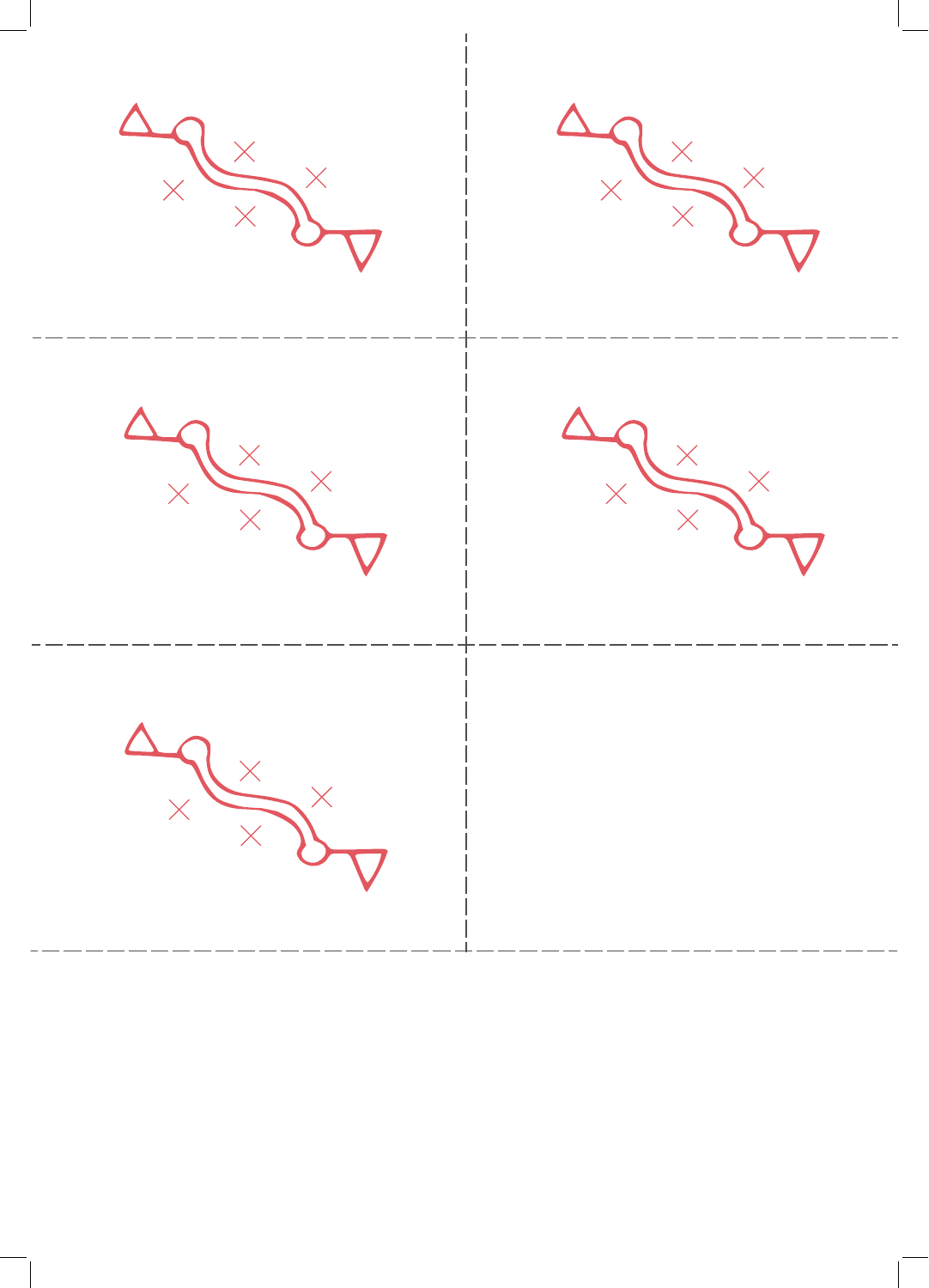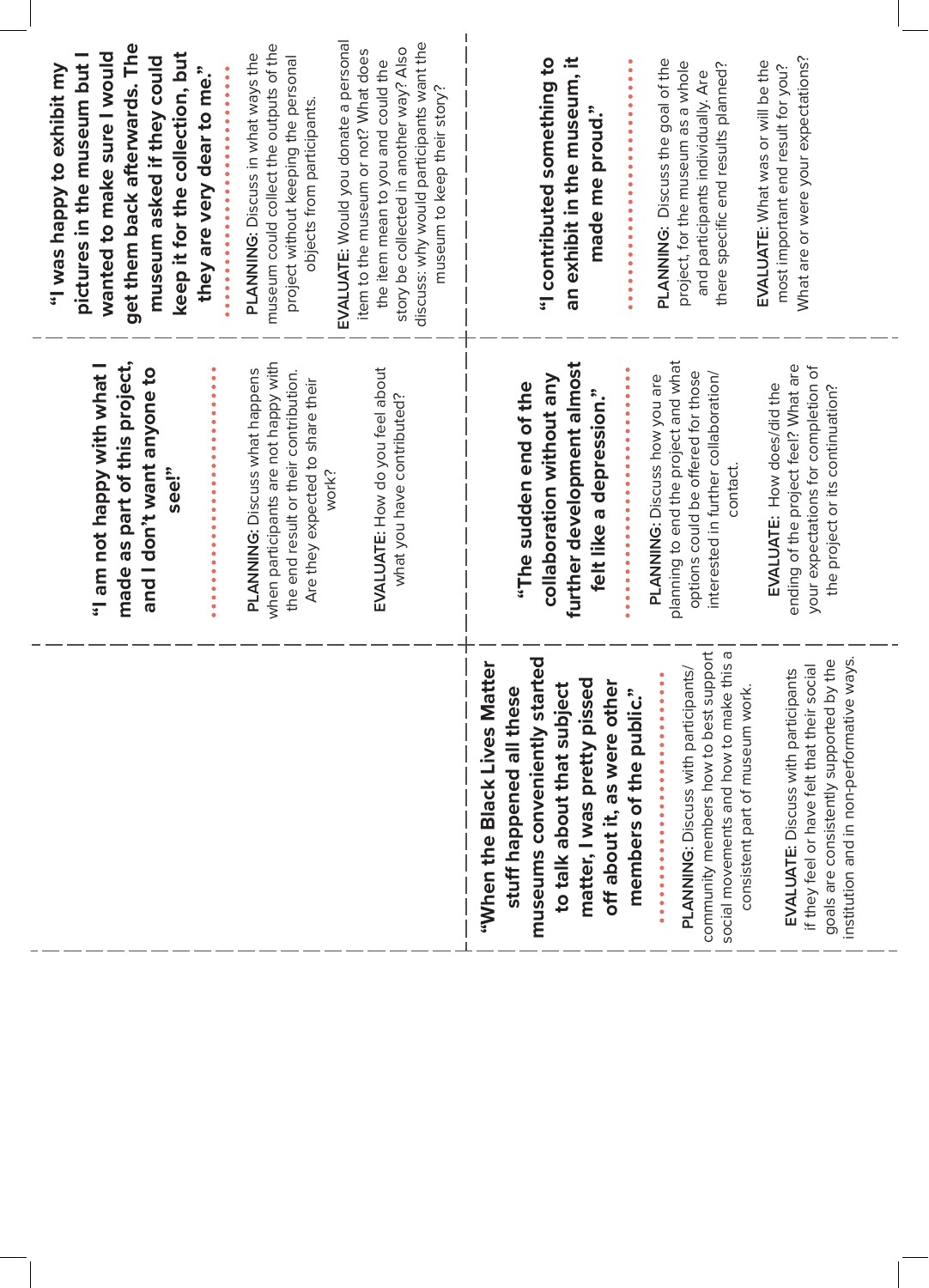| get them back afterwards. The<br>wanted to make sure I would<br>keep it for the collection, but<br>pictures in the museum but I<br>museum asked if they could<br>"I was happy to exhibit my<br>they are very dear to me." | EVALUATE: Would you donate a personal<br>discuss: why would participants want the<br>museum could collect the outputs of the<br>story be collected in another way? Also<br>item to the museum or not? What does<br>PLANNING: Discuss in what ways the<br>project without keeping the personal<br>the item mean to you and could the<br>museum to keep their story?<br>objects from participants. | What are or were your expectations?<br>exhibit in the museum, it<br>"I contributed something to<br>PLANNING: Discuss the goal of the<br>EVALUATE: What was or will be the<br>project, for the museum as a whole<br>there specific end results planned?<br>most important end result for you?<br>and participants individually. Are<br>made me proud."<br><b>CIB</b>                                                                                                                                                                                                                    |
|---------------------------------------------------------------------------------------------------------------------------------------------------------------------------------------------------------------------------|--------------------------------------------------------------------------------------------------------------------------------------------------------------------------------------------------------------------------------------------------------------------------------------------------------------------------------------------------------------------------------------------------|----------------------------------------------------------------------------------------------------------------------------------------------------------------------------------------------------------------------------------------------------------------------------------------------------------------------------------------------------------------------------------------------------------------------------------------------------------------------------------------------------------------------------------------------------------------------------------------|
| made as part of this project,<br>"I am not happy with what I<br>and I don't want anyone to<br>see!"                                                                                                                       | when participants are not happy with<br>EVALUATE: How do you feel about<br>PLANNING: Discuss what happens<br>the end result or their contribution.<br>Are they expected to share their<br>what you have contributed?<br>work?                                                                                                                                                                    | planning to end the project and what<br>further development almost<br>ending of the project feel? What are<br>your expectations for completion of<br>options could be offered for those<br>interested in further collaboration/<br>PLANNING: Discuss how you are<br>collaboration without any<br>"The sudden end of the<br>EVALUATE: How does/did the<br>the project or its continuation?<br>felt like a depression."<br>contact.                                                                                                                                                      |
|                                                                                                                                                                                                                           |                                                                                                                                                                                                                                                                                                                                                                                                  | community members how to best support<br>social movements and how to make this a<br>museums conveniently started<br>institution and in non-performative ways.<br>$\overline{\mathsf{P}}$<br>"When the Black Lives Matter<br>if they feel or have felt that their social<br>PLANNING: Discuss with participants/<br>EVALUATE: Discuss with participants<br>goals are consistently supported by th<br>matter, I was pretty pissed<br>off about it, as were other<br>to talk about that subject<br>consistent part of museum work.<br>stuff happened all these<br>members of the public." |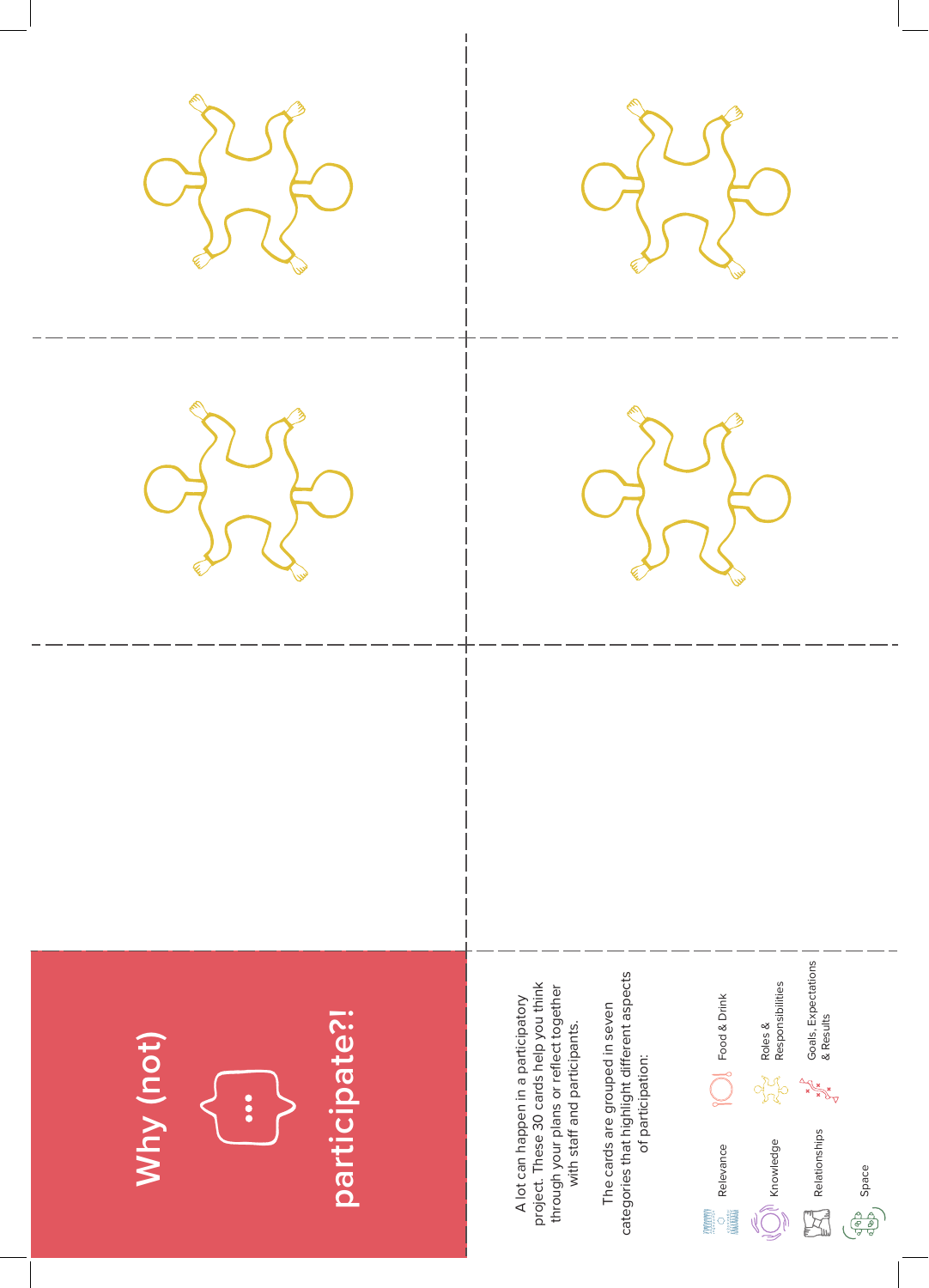